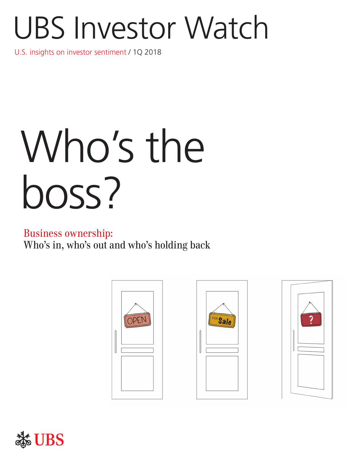# UBS Investor Watch

U.S. insights on investor sentiment / 1Q 2018

# Who's the boss?

## Business ownership:

Who's in, who's out and who's holding back







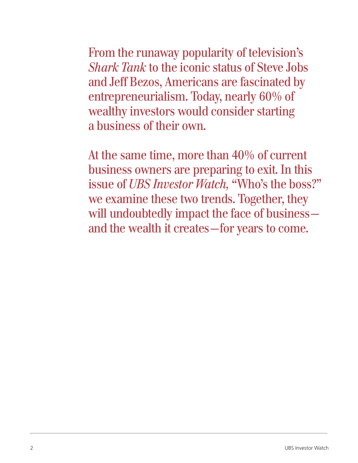From the runaway popularity of television's *Shark Tank* to the iconic status of Steve Jobs and Jeff Bezos, Americans are fascinated by entrepreneurialism. Today, nearly 60% of wealthy investors would consider starting a business of their own.

At the same time, more than 40% of current business owners are preparing to exit. In this issue of *UBS Investor Watch,* "Who's the boss?" we examine these two trends. Together, they will undoubtedly impact the face of business and the wealth it creates—for years to come.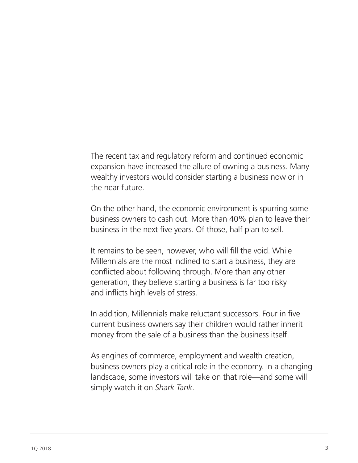The recent tax and regulatory reform and continued economic expansion have increased the allure of owning a business. Many wealthy investors would consider starting a business now or in the near future.

On the other hand, the economic environment is spurring some business owners to cash out. More than 40% plan to leave their business in the next five years. Of those, half plan to sell.

It remains to be seen, however, who will fill the void. While Millennials are the most inclined to start a business, they are conflicted about following through. More than any other generation, they believe starting a business is far too risky and inflicts high levels of stress.

In addition, Millennials make reluctant successors. Four in five current business owners say their children would rather inherit money from the sale of a business than the business itself.

As engines of commerce, employment and wealth creation, business owners play a critical role in the economy. In a changing landscape, some investors will take on that role—and some will simply watch it on *Shark Tank*.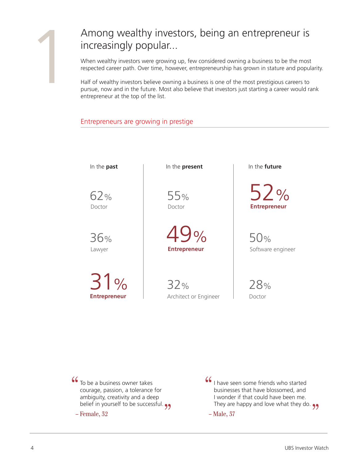## Among wealthy investors, being an entrepreneur is increasingly popular...

When wealthy investors were growing up, few considered owning a business to be the most respected career path. Over time, however, entrepreneurship has grown in stature and popularity.

Half of wealthy investors believe owning a business is one of the most prestigious careers to pursue, now and in the future. Most also believe that investors just starting a career would rank entrepreneur at the top of the list.

#### Entrepreneurs are growing in prestige

62% Doctor

36%

**Entrepreneur** 31%

In the **past**  $\qquad$  In the **present** In the **future** 

55%

Lawyer **Entrepreneur** 49%

> 32% Architect or Engineer

Doctor **Entrepreneur** 52%

> 50% Software engineer

28% Doctor

To be a business owner takes courage, passion, a tolerance for ambiguity, creativity and a deep ambigury, creativity and a deep<br>belief in yourself to be successful.  $\bullet$ "

– Female, 32

I have seen some friends who started businesses that have blossomed, and I wonder if that could have been me. r wonder it that could have been me.<br>They are happy and love what they do. 99 "

– Male, 37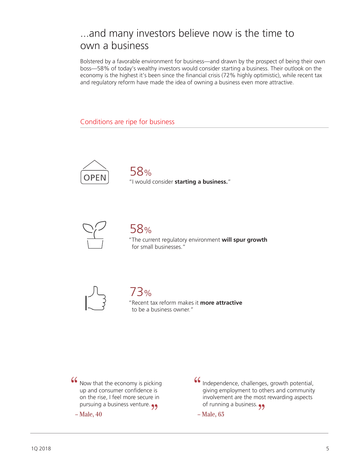# ...and many investors believe now is the time to own a business

Bolstered by a favorable environment for business—and drawn by the prospect of being their own boss—58% of today's wealthy investors would consider starting a business. Their outlook on the economy is the highest it's been since the financial crisis (72% highly optimistic), while recent tax and regulatory reform have made the idea of owning a business even more attractive.

Conditions are ripe for business



"I would consider **starting a business.**" 58%



58%

"The current regulatory environment **will spur growth** for small businesses."





"Recent tax reform makes it **more attractive** to be a business owner."

Now that the economy is picking up and consumer confidence is on the rise, I feel more secure in on the rise, I feel more secure in<br>pursuing a business venture. "

– Male, 40

Independence, challenges, growth potential, giving employment to others and community involvement are the most rewarding aspects involvement are the most "

– Male, 63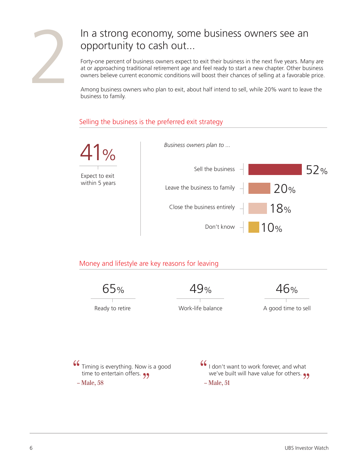

# In a strong economy, some business owners see an opportunity to cash out...

Forty-one percent of business owners expect to exit their business in the next five years. Many are at or approaching traditional retirement age and feel ready to start a new chapter. Other business owners believe current economic conditions will boost their chances of selling at a favorable price.

Among business owners who plan to exit, about half intend to sell, while 20% want to leave the business to family.

#### Selling the business is the preferred exit strategy



#### Money and lifestyle are key reasons for leaving

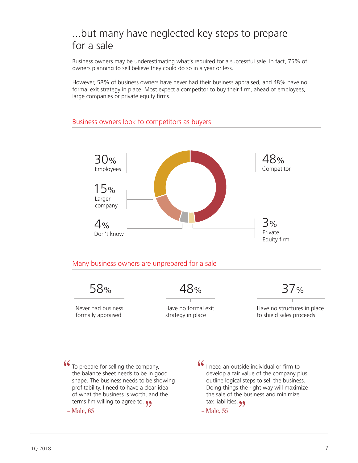# ...but many have neglected key steps to prepare for a sale

Business owners may be underestimating what's required for a successful sale. In fact, 75% of owners planning to sell believe they could do so in a year or less.

However, 58% of business owners have never had their business appraised, and 48% have no formal exit strategy in place. Most expect a competitor to buy their firm, ahead of employees, large companies or private equity firms.



#### Business owners look to competitors as buyers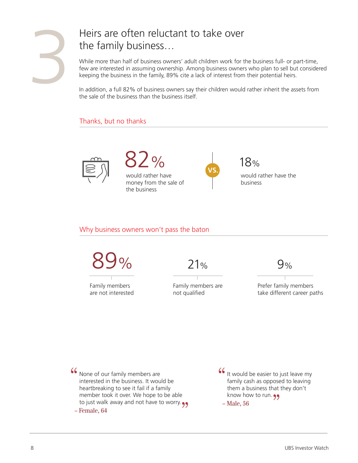

# Heirs are often reluctant to take over the family business…

While more than half of business owners' adult children work for the business full- or part-time, few are interested in assuming ownership. Among business owners who plan to sell but considered keeping the business in the family, 89% cite a lack of interest from their potential heirs.

In addition, a full 82% of business owners say their children would rather inherit the assets from the sale of the business than the business itself.

#### Thanks, but no thanks





would rather have money from the sale of the business



18% would rather have the business

#### Why business owners won't pass the baton



Family members are not interested

Family members are not qualified

Prefer family members take different career paths

None of our family members are interested in the business. It would be heartbreaking to see it fail if a family member took it over. We hope to be able rhember took it over. We nope to be able<br>to just walk away and not have to worry. "

– Female, 64

It would be easier to just leave my family cash as opposed to leaving them a business that they don't them a business that<br>know how to run. 99 "

– Male, 56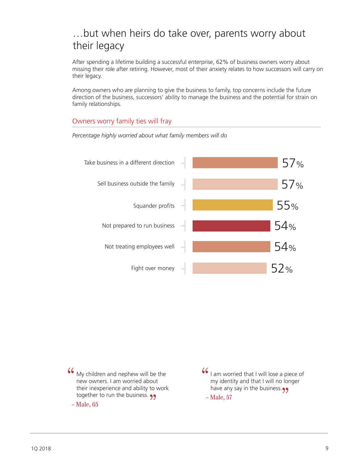# …but when heirs do take over, parents worry about their legacy

After spending a lifetime building a successful enterprise, 62% of business owners worry about missing their role after retiring. However, most of their anxiety relates to how successors will carry on their legacy.

Among owners who are planning to give the business to family, top concerns include the future direction of the business, successors' ability to manage the business and the potential for strain on family relationships.

#### Owners worry family ties will fray



*Percentage highly worried about what family members will do* 

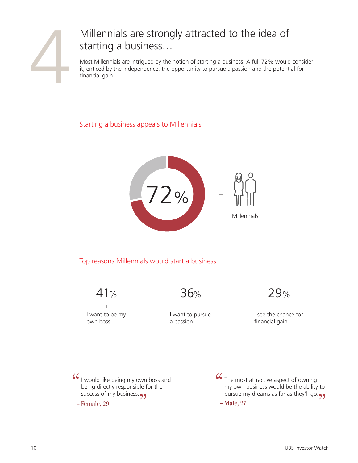

# Millennials are strongly attracted to the idea of starting a business…

Most Millennials are intrigued by the notion of starting a business. A full 72% would consider it, enticed by the independence, the opportunity to pursue a passion and the potential for financial gain.

Starting a business appeals to Millennials



Top reasons Millennials would start a business

41%

I want to be my own boss

36% 29%

I want to pursue a passion

I see the chance for financial gain

I would like being my own boss and being directly responsible for the being airectly responsible to<br>success of my business. "

– Female, 29

The most attractive aspect of owning my own business would be the ability to nly own business would be the ability to<br>pursue my dreams as far as they'll go.  $\bullet$ " – Male, 27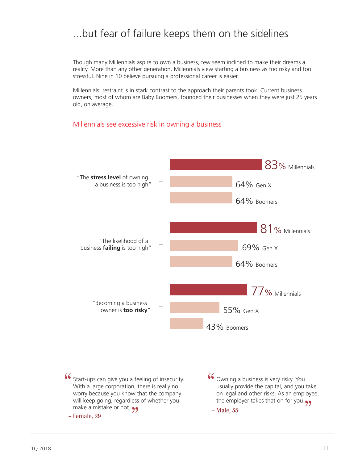# ...but fear of failure keeps them on the sidelines

Though many Millennials aspire to own a business, few seem inclined to make their dreams a reality. More than any other generation, Millennials view starting a business as too risky and too stressful. Nine in 10 believe pursuing a professional career is easier.

Millennials' restraint is in stark contrast to the approach their parents took. Current business owners, most of whom are Baby Boomers, founded their businesses when they were just 25 years old, on average.



#### Millennials see excessive risk in owning a business

Start-ups can give you a feeling of insecurity. With a large corporation, there is really no worry because you know that the company will keep going, regardless of whether you wiji keep going, regardiess<br>make a mistake or not. 99 " – Female, 29 Owning a business is very risky. You usually provide the capital, and you take on legal and other risks. As an employee, on legal and other risks. As an employe<br>the employer takes that on for you. " – Male, 35